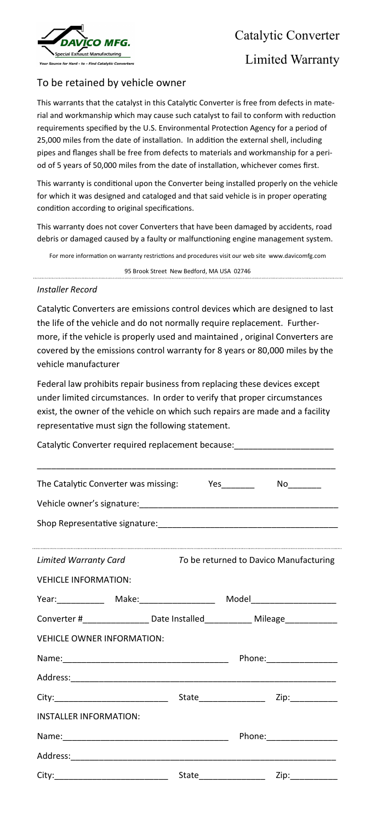

Catalytic Converter

## Limited Warranty

## To be retained by vehicle owner

This warrants that the catalyst in this Catalytic Converter is free from defects in material and workmanship which may cause such catalyst to fail to conform with reduction requirements specified by the U.S. Environmental Protection Agency for a period of 25,000 miles from the date of installation. In addition the external shell, including pipes and flanges shall be free from defects to materials and workmanship for a period of 5 years of 50,000 miles from the date of installation, whichever comes first.

This warranty is conditional upon the Converter being installed properly on the vehicle for which it was designed and cataloged and that said vehicle is in proper operating condition according to original specifications.

This warranty does not cover Converters that have been damaged by accidents, road debris or damaged caused by a faulty or malfunctioning engine management system.

For more information on warranty restrictions and procedures visit our web site www.davicomfg.com

95 Brook Street New Bedford, MA USA 02746

## *Installer Record*

Catalytic Converters are emissions control devices which are designed to last the life of the vehicle and do not normally require replacement. Furthermore, if the vehicle is properly used and maintained , original Converters are covered by the emissions control warranty for 8 years or 80,000 miles by the vehicle manufacturer

Federal law prohibits repair business from replacing these devices except under limited circumstances. In order to verify that proper circumstances exist, the owner of the vehicle on which such repairs are made and a facility representative must sign the following statement.

Catalytic Converter required replacement because:

| The Catalytic Converter was missing: Yes                                         |                                        |  |  |
|----------------------------------------------------------------------------------|----------------------------------------|--|--|
|                                                                                  |                                        |  |  |
|                                                                                  |                                        |  |  |
|                                                                                  |                                        |  |  |
| <b>Limited Warranty Card</b>                                                     | To be returned to Davico Manufacturing |  |  |
| <b>VEHICLE INFORMATION:</b>                                                      |                                        |  |  |
| Year: _____________ Make: ___________________ Model_____________________________ |                                        |  |  |
| Converter #__________________Date Installed_______________ Mileage______________ |                                        |  |  |
| <b>VEHICLE OWNER INFORMATION:</b>                                                |                                        |  |  |
|                                                                                  |                                        |  |  |
|                                                                                  |                                        |  |  |
|                                                                                  |                                        |  |  |
| <b>INSTALLER INFORMATION:</b>                                                    |                                        |  |  |
|                                                                                  |                                        |  |  |
|                                                                                  |                                        |  |  |
|                                                                                  |                                        |  |  |